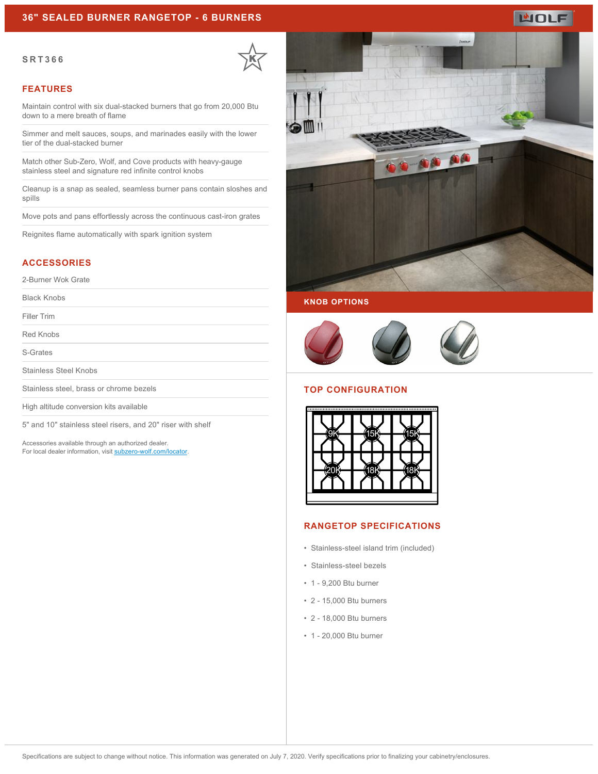# **WOLF**

#### **SRT366**



#### **FEATURES**

Maintain control with six dual-stacked burners that go from 20,000 Btu down to a mere breath of flame

Simmer and melt sauces, soups, and marinades easily with the lower tier of the dual-stacked burner

Match other Sub-Zero, Wolf, and Cove products with heavy-gauge stainless steel and signature red infinite control knobs

Cleanup is a snap as sealed, seamless burner pans contain sloshes and spills

Move pots and pans effortlessly across the continuous cast-iron grates

Reignites flame automatically with spark ignition system

## **ACCESSORIES**

2-Burner Wok Grate

Black Knobs

Filler Trim

Red Knobs

S-Grates

Stainless Steel Knobs

Stainless steel, brass or chrome bezels

High altitude conversion kits available

5" and 10" stainless steel risers, and 20" riser with shelf

Accessories available through an authorized dealer. For local dealer information, visit [subzero-wolf.com/locator.](http://www.subzero-wolf.com/locator)







#### **TOP CONFIGURATION**



## **RANGETOP SPECIFICATIONS**

- Stainless-steel island trim (included)
- Stainless-steel bezels
- 1 9,200 Btu burner
- 2 15,000 Btu burners
- 2 18,000 Btu burners
- 1 20,000 Btu burner